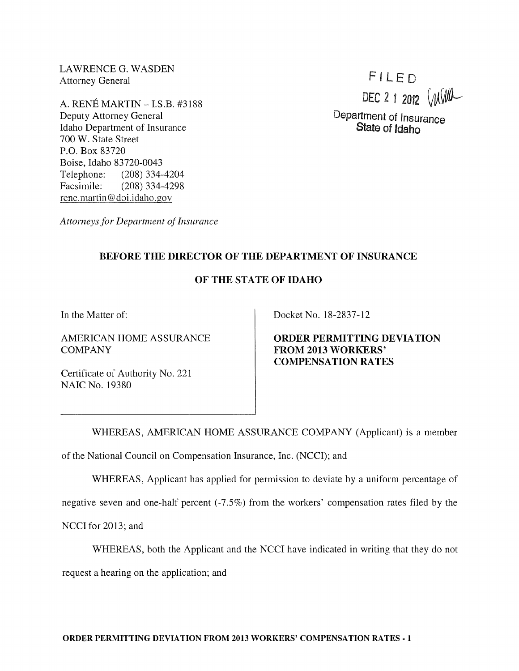LAWRENCE G. WASDEN Attorney General

A. RENE MARTIN -I.S.B. #3188 Deputy Attorney General Idaho Department of Insurance 700 W. State Street P.O. Box 83720 Boise, Idaho 83720-0043 Telephone: (208) 334-4204 Facsimile: (208) 334-4298 rene. martin @doi.idaho.gov

FILED DEC 2 1 2012  $(M/M)$ 

Department of Insurance State of Idaho

*Attorneys for Department of Insurance* 

## BEFORE THE DIRECTOR OF THE DEPARTMENT OF INSURANCE

## OF THE STATE OF IDAHO

In the Matter of:

AMERICAN HOME ASSURANCE **COMPANY** 

Certificate of Authority No. 221 NAIC No. 19380

Docket No. 18-2837-12

ORDER PERMITTING DEVIATION FROM 2013 WORKERS' COMPENSATION RATES

WHEREAS, AMERICAN HOME ASSURANCE COMPANY (Applicant) is a member of the National Council on Compensation Insurance, Inc. (NCCI); and

WHEREAS, Applicant has applied for permission to deviate by a uniform percentage of

negative seven and one-half percent (-7.5%) from the workers' compensation rates filed by the

NCCI for 2013; and

WHEREAS, both the Applicant and the NCCI have indicated in writing that they do not

request a hearing on the application; and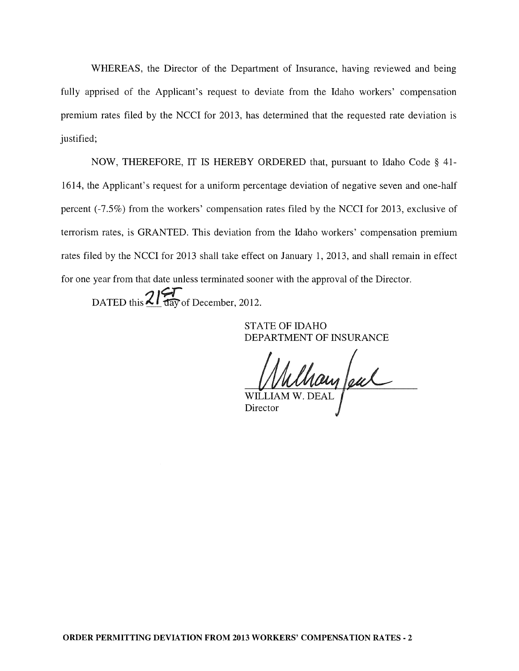WHEREAS, the Director of the Department of Insurance, having reviewed and being fully apprised of the Applicant's request to deviate from the Idaho workers' compensation premium rates filed by the NCCI for 2013, has determined that the requested rate deviation is justified;

NOW, THEREFORE, IT IS HEREBY ORDERED that, pursuant to Idaho Code § 41- 1614, the Applicant's request for a uniform percentage deviation of negative seven and one-half percent (-7.5%) from the workers' compensation rates filed by the NCCI for 2013, exclusive of terrorism rates, is GRANTED. This deviation from the Idaho workers' compensation premium rates filed by the NCCI for 2013 shall take effect on January 1, 2013, and shall remain in effect for one year from that date unless terminated sooner with the approval of the Director.

DATED this  $2\frac{1}{4}$  day of December, 2012.

STATE OF IDAHO DEPARTMENT OF INSURANCE

Champeul

Director